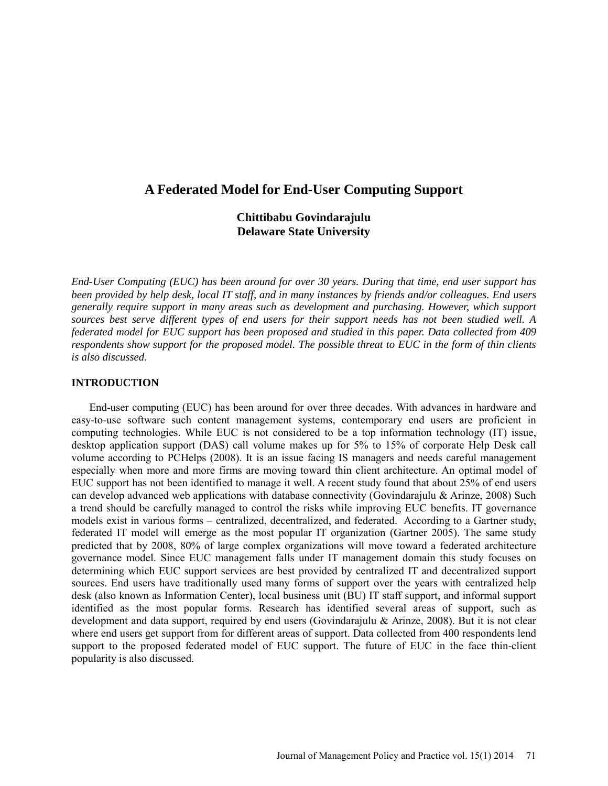# **A Federated Model for End-User Computing Support**

# **Chittibabu Govindarajulu Delaware State University**

*End-User Computing (EUC) has been around for over 30 years. During that time, end user support has been provided by help desk, local IT staff, and in many instances by friends and/or colleagues. End users generally require support in many areas such as development and purchasing. However, which support sources best serve different types of end users for their support needs has not been studied well. A federated model for EUC support has been proposed and studied in this paper. Data collected from 409 respondents show support for the proposed model. The possible threat to EUC in the form of thin clients is also discussed.*

#### **INTRODUCTION**

End-user computing (EUC) has been around for over three decades. With advances in hardware and easy-to-use software such content management systems, contemporary end users are proficient in computing technologies. While EUC is not considered to be a top information technology (IT) issue, desktop application support (DAS) call volume makes up for 5% to 15% of corporate Help Desk call volume according to PCHelps (2008). It is an issue facing IS managers and needs careful management especially when more and more firms are moving toward thin client architecture. An optimal model of EUC support has not been identified to manage it well. A recent study found that about 25% of end users can develop advanced web applications with database connectivity (Govindarajulu & Arinze, 2008) Such a trend should be carefully managed to control the risks while improving EUC benefits. IT governance models exist in various forms – centralized, decentralized, and federated. According to a Gartner study, federated IT model will emerge as the most popular IT organization (Gartner 2005). The same study predicted that by 2008, 80% of large complex organizations will move toward a federated architecture governance model. Since EUC management falls under IT management domain this study focuses on determining which EUC support services are best provided by centralized IT and decentralized support sources. End users have traditionally used many forms of support over the years with centralized help desk (also known as Information Center), local business unit (BU) IT staff support, and informal support identified as the most popular forms. Research has identified several areas of support, such as development and data support, required by end users (Govindarajulu & Arinze, 2008). But it is not clear where end users get support from for different areas of support. Data collected from 400 respondents lend support to the proposed federated model of EUC support. The future of EUC in the face thin-client popularity is also discussed.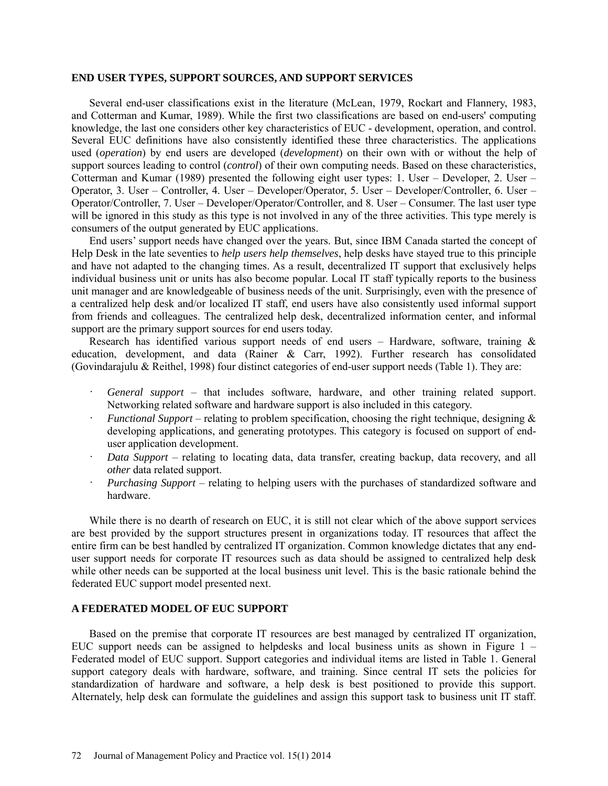#### **END USER TYPES, SUPPORT SOURCES, AND SUPPORT SERVICES**

Several end-user classifications exist in the literature (McLean, 1979, Rockart and Flannery, 1983, and Cotterman and Kumar, 1989). While the first two classifications are based on end-users' computing knowledge, the last one considers other key characteristics of EUC - development, operation, and control. Several EUC definitions have also consistently identified these three characteristics. The applications used (*operation*) by end users are developed (*development*) on their own with or without the help of support sources leading to control (*control*) of their own computing needs. Based on these characteristics, Cotterman and Kumar (1989) presented the following eight user types: 1. User – Developer, 2. User – Operator, 3. User – Controller, 4. User – Developer/Operator, 5. User – Developer/Controller, 6. User – Operator/Controller, 7. User – Developer/Operator/Controller, and 8. User – Consumer. The last user type will be ignored in this study as this type is not involved in any of the three activities. This type merely is consumers of the output generated by EUC applications.

End users' support needs have changed over the years. But, since IBM Canada started the concept of Help Desk in the late seventies to *help users help themselves*, help desks have stayed true to this principle and have not adapted to the changing times. As a result, decentralized IT support that exclusively helps individual business unit or units has also become popular. Local IT staff typically reports to the business unit manager and are knowledgeable of business needs of the unit. Surprisingly, even with the presence of a centralized help desk and/or localized IT staff, end users have also consistently used informal support from friends and colleagues. The centralized help desk, decentralized information center, and informal support are the primary support sources for end users today.

Research has identified various support needs of end users – Hardware, software, training  $\&$ education, development, and data (Rainer & Carr, 1992). Further research has consolidated (Govindarajulu & Reithel, 1998) four distinct categories of end-user support needs (Table 1). They are:

- General support that includes software, hardware, and other training related support. Networking related software and hardware support is also included in this category.
- · *Functional Support* relating to problem specification, choosing the right technique, designing & developing applications, and generating prototypes. This category is focused on support of enduser application development.
- · *Data Support* relating to locating data, data transfer, creating backup, data recovery, and all *other* data related support.
- · *Purchasing Support* relating to helping users with the purchases of standardized software and hardware.

While there is no dearth of research on EUC, it is still not clear which of the above support services are best provided by the support structures present in organizations today. IT resources that affect the entire firm can be best handled by centralized IT organization. Common knowledge dictates that any enduser support needs for corporate IT resources such as data should be assigned to centralized help desk while other needs can be supported at the local business unit level. This is the basic rationale behind the federated EUC support model presented next.

#### **A FEDERATED MODEL OF EUC SUPPORT**

Based on the premise that corporate IT resources are best managed by centralized IT organization, EUC support needs can be assigned to helpdesks and local business units as shown in Figure 1 – Federated model of EUC support. Support categories and individual items are listed in Table 1. General support category deals with hardware, software, and training. Since central IT sets the policies for standardization of hardware and software, a help desk is best positioned to provide this support. Alternately, help desk can formulate the guidelines and assign this support task to business unit IT staff.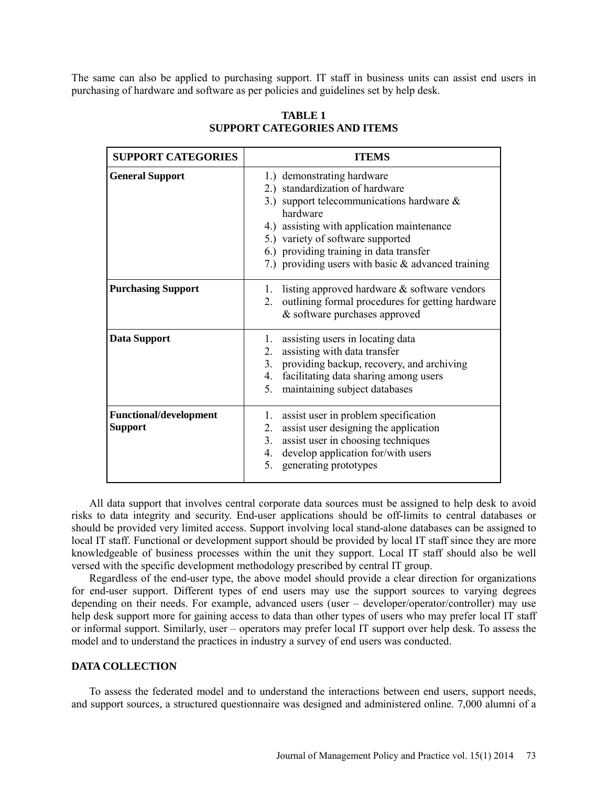The same can also be applied to purchasing support. IT staff in business units can assist end users in purchasing of hardware and software as per policies and guidelines set by help desk.

| <b>SUPPORT CATEGORIES</b>                       | <b>ITEMS</b>                                                                                                                                                                                                                                                                                                    |  |  |  |  |  |
|-------------------------------------------------|-----------------------------------------------------------------------------------------------------------------------------------------------------------------------------------------------------------------------------------------------------------------------------------------------------------------|--|--|--|--|--|
| <b>General Support</b>                          | 1.) demonstrating hardware<br>2.) standardization of hardware<br>3.) support telecommunications hardware $\&$<br>hardware<br>4.) assisting with application maintenance<br>5.) variety of software supported<br>6.) providing training in data transfer<br>7.) providing users with basic $&$ advanced training |  |  |  |  |  |
| <b>Purchasing Support</b>                       | listing approved hardware & software vendors<br>1.<br>outlining formal procedures for getting hardware<br>2.<br>& software purchases approved                                                                                                                                                                   |  |  |  |  |  |
| <b>Data Support</b>                             | assisting users in locating data<br>1.<br>assisting with data transfer<br>$2_{-}$<br>providing backup, recovery, and archiving<br>3.<br>facilitating data sharing among users<br>4.<br>maintaining subject databases<br>5.                                                                                      |  |  |  |  |  |
| <b>Functional/development</b><br><b>Support</b> | assist user in problem specification<br>1.<br>assist user designing the application<br>2.<br>assist user in choosing techniques<br>3.<br>develop application for/with users<br>4.<br>generating prototypes<br>5.                                                                                                |  |  |  |  |  |

## **TABLE 1 SUPPORT CATEGORIES AND ITEMS**

All data support that involves central corporate data sources must be assigned to help desk to avoid risks to data integrity and security. End-user applications should be off-limits to central databases or should be provided very limited access. Support involving local stand-alone databases can be assigned to local IT staff. Functional or development support should be provided by local IT staff since they are more knowledgeable of business processes within the unit they support. Local IT staff should also be well versed with the specific development methodology prescribed by central IT group.

Regardless of the end-user type, the above model should provide a clear direction for organizations for end-user support. Different types of end users may use the support sources to varying degrees depending on their needs. For example, advanced users (user – developer/operator/controller) may use help desk support more for gaining access to data than other types of users who may prefer local IT staff or informal support. Similarly, user – operators may prefer local IT support over help desk. To assess the model and to understand the practices in industry a survey of end users was conducted.

## **DATA COLLECTION**

To assess the federated model and to understand the interactions between end users, support needs, and support sources, a structured questionnaire was designed and administered online. 7,000 alumni of a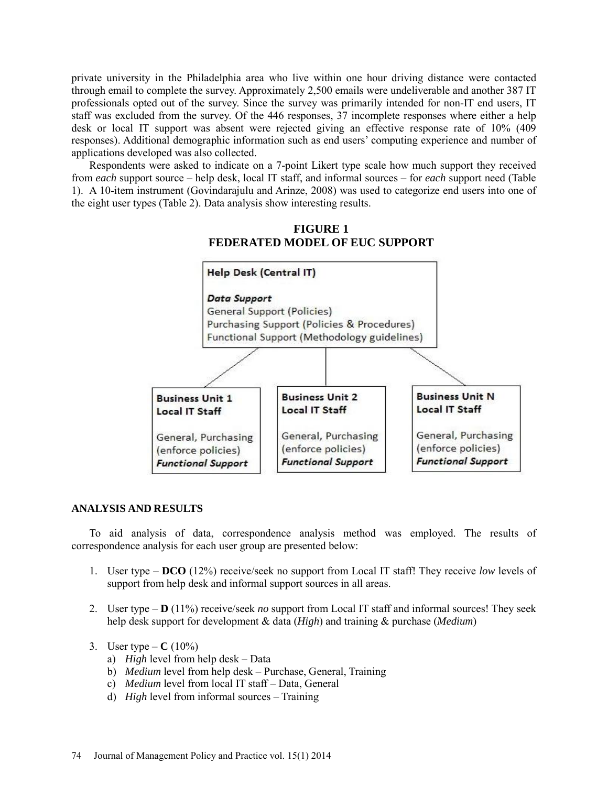private university in the Philadelphia area who live within one hour driving distance were contacted through email to complete the survey. Approximately 2,500 emails were undeliverable and another 387 IT professionals opted out of the survey. Since the survey was primarily intended for non-IT end users, IT staff was excluded from the survey. Of the 446 responses, 37 incomplete responses where either a help desk or local IT support was absent were rejected giving an effective response rate of 10% (409 responses). Additional demographic information such as end users' computing experience and number of applications developed was also collected.

Respondents were asked to indicate on a 7-point Likert type scale how much support they received from *each* support source – help desk, local IT staff, and informal sources – for *each* support need (Table 1). A 10-item instrument (Govindarajulu and Arinze, 2008) was used to categorize end users into one of the eight user types (Table 2). Data analysis show interesting results.

# **FIGURE 1 FEDERATED MODEL OF EUC SUPPORT**



#### **ANALYSIS AND RESULTS**

To aid analysis of data, correspondence analysis method was employed. The results of correspondence analysis for each user group are presented below:

- 1. User type **DCO** (12%) receive/seek no support from Local IT staff! They receive *low* levels of support from help desk and informal support sources in all areas.
- 2. User type **D** (11%) receive/seek *no* support from Local IT staff and informal sources! They seek help desk support for development & data (*High*) and training & purchase (*Medium*)
- 3. User type  $C (10\%)$ 
	- a) *High* level from help desk Data
	- b) *Medium* level from help desk Purchase, General, Training
	- c) *Medium* level from local IT staff Data, General
	- d) *High* level from informal sources Training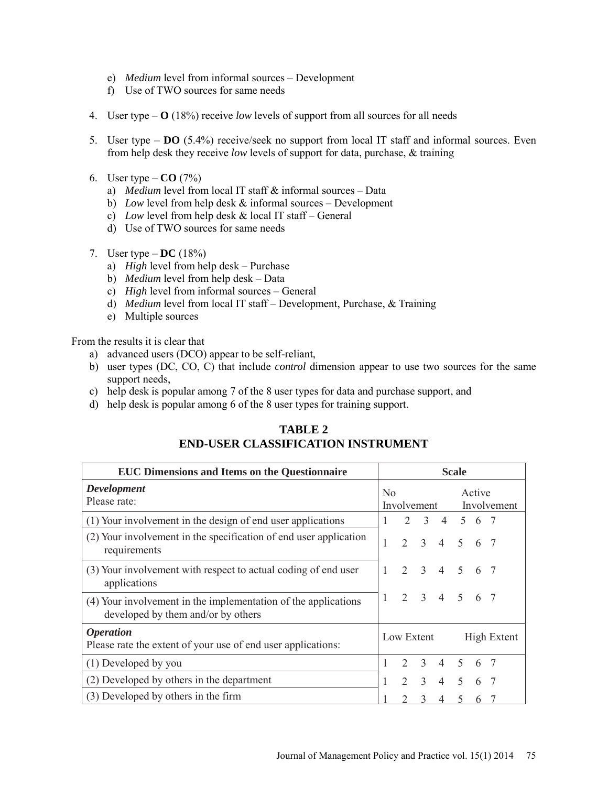- e) *Medium* level from informal sources Development
- f) Use of TWO sources for same needs
- 4. User type **O** (18%) receive *low* levels of support from all sources for all needs
- 5. User type **DO** (5.4%) receive/seek no support from local IT staff and informal sources. Even from help desk they receive *low* levels of support for data, purchase, & training
- 6. User type  $-$  **CO** (7%)
	- a) *Medium* level from local IT staff & informal sources Data
	- b) *Low* level from help desk & informal sources Development
	- c) *Low* level from help desk & local IT staff General
	- d) Use of TWO sources for same needs
- 7. User type  $-$  **DC** (18%)
	- a) *High* level from help desk Purchase
	- b) *Medium* level from help desk Data
	- c) *High* level from informal sources General
	- d) *Medium* level from local IT staff Development, Purchase, & Training
	- e) Multiple sources

From the results it is clear that

- a) advanced users (DCO) appear to be self-reliant,
- b) user types (DC, CO, C) that include *control* dimension appear to use two sources for the same support needs,
- c) help desk is popular among 7 of the 8 user types for data and purchase support, and
- d) help desk is popular among 6 of the 8 user types for training support.

## **TABLE 2 END-USER CLASSIFICATION INSTRUMENT**

| <b>EUC Dimensions and Items on the Questionnaire</b>                                                 |  | <b>Scale</b>                  |                |                |             |                       |  |  |  |  |  |
|------------------------------------------------------------------------------------------------------|--|-------------------------------|----------------|----------------|-------------|-----------------------|--|--|--|--|--|
| <b>Development</b><br>Please rate:                                                                   |  | N <sub>0</sub><br>Involvement |                |                |             | Active<br>Involvement |  |  |  |  |  |
| (1) Your involvement in the design of end user applications                                          |  | 2                             | 3 <sup>7</sup> |                | 4 5 6 7     |                       |  |  |  |  |  |
| (2) Your involvement in the specification of end user application<br>requirements                    |  | $\mathcal{D}$                 | 3              | $\overline{4}$ | $5^{\circ}$ | 6 7                   |  |  |  |  |  |
| (3) Your involvement with respect to actual coding of end user<br>applications                       |  |                               | 2 3 4 5 6 7    |                |             |                       |  |  |  |  |  |
| (4) Your involvement in the implementation of the applications<br>developed by them and/or by others |  |                               | 2 3 4 5 6 7    |                |             |                       |  |  |  |  |  |
| <i><b>Operation</b></i><br>Please rate the extent of your use of end user applications:              |  |                               | Low Extent     |                |             | High Extent           |  |  |  |  |  |
| (1) Developed by you                                                                                 |  | $\mathcal{L}$                 | 3 4 5 6 7      |                |             |                       |  |  |  |  |  |
| (2) Developed by others in the department                                                            |  |                               | $2 \sqrt{3}$   |                | 4 5         | 6                     |  |  |  |  |  |
| (3) Developed by others in the firm                                                                  |  |                               | 3              | 4              | 5           | 6                     |  |  |  |  |  |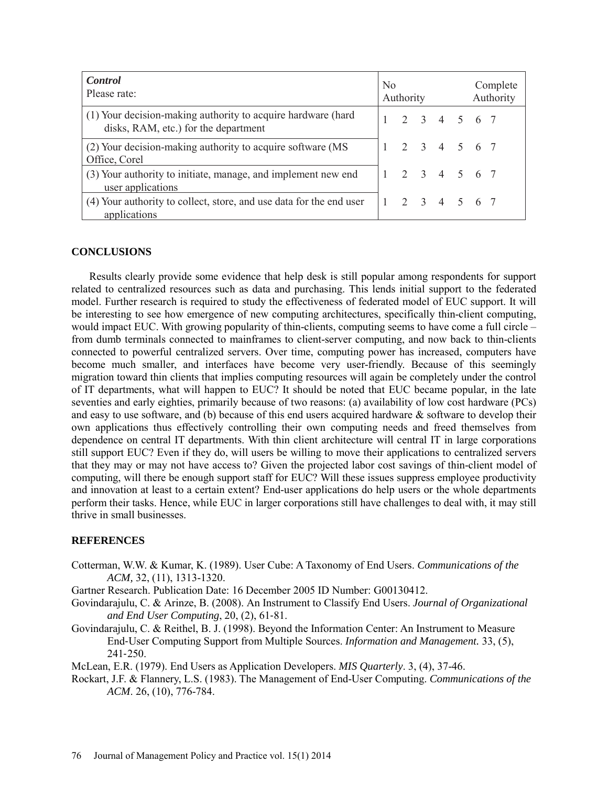| <b>Control</b><br>Please rate:                                                                       |  | N <sub>0</sub><br>Authority |  |             |  |  | Complete<br>Authority |  |  |
|------------------------------------------------------------------------------------------------------|--|-----------------------------|--|-------------|--|--|-----------------------|--|--|
| (1) Your decision-making authority to acquire hardware (hard<br>disks, RAM, etc.) for the department |  |                             |  | 2 3 4 5 6 7 |  |  |                       |  |  |
| (2) Your decision-making authority to acquire software (MS)<br>Office, Corel                         |  |                             |  | 2 3 4 5 6 7 |  |  |                       |  |  |
| (3) Your authority to initiate, manage, and implement new end<br>user applications                   |  |                             |  | 2 3 4 5 6 7 |  |  |                       |  |  |
| (4) Your authority to collect, store, and use data for the end user<br>applications                  |  |                             |  | 2 3 4 5 6 7 |  |  |                       |  |  |

### **CONCLUSIONS**

Results clearly provide some evidence that help desk is still popular among respondents for support related to centralized resources such as data and purchasing. This lends initial support to the federated model. Further research is required to study the effectiveness of federated model of EUC support. It will be interesting to see how emergence of new computing architectures, specifically thin-client computing, would impact EUC. With growing popularity of thin-clients, computing seems to have come a full circle – from dumb terminals connected to mainframes to client-server computing, and now back to thin-clients connected to powerful centralized servers. Over time, computing power has increased, computers have become much smaller, and interfaces have become very user-friendly. Because of this seemingly migration toward thin clients that implies computing resources will again be completely under the control of IT departments, what will happen to EUC? It should be noted that EUC became popular, in the late seventies and early eighties, primarily because of two reasons: (a) availability of low cost hardware (PCs) and easy to use software, and (b) because of this end users acquired hardware & software to develop their own applications thus effectively controlling their own computing needs and freed themselves from dependence on central IT departments. With thin client architecture will central IT in large corporations still support EUC? Even if they do, will users be willing to move their applications to centralized servers that they may or may not have access to? Given the projected labor cost savings of thin-client model of computing, will there be enough support staff for EUC? Will these issues suppress employee productivity and innovation at least to a certain extent? End-user applications do help users or the whole departments perform their tasks. Hence, while EUC in larger corporations still have challenges to deal with, it may still thrive in small businesses.

### **REFERENCES**

Cotterman, W.W. & Kumar, K. (1989). User Cube: A Taxonomy of End Users. *Communications of the ACM,* 32, (11), 1313-1320.

Gartner Research. Publication Date: 16 December 2005 ID Number: G00130412.

Govindarajulu, C. & Arinze, B. (2008). An Instrument to Classify End Users. *Journal of Organizational and End User Computing*, 20, (2), 61‐81.

Govindarajulu, C. & Reithel, B. J. (1998). Beyond the Information Center: An Instrument to Measure End‐User Computing Support from Multiple Sources. *Information and Management.* 33, (5), 241‐250.

McLean, E.R. (1979). End Users as Application Developers. *MIS Quarterly*. 3, (4), 37-46.

Rockart, J.F. & Flannery, L.S. (1983). The Management of End-User Computing. *Communications of the ACM*. 26, (10), 776-784.